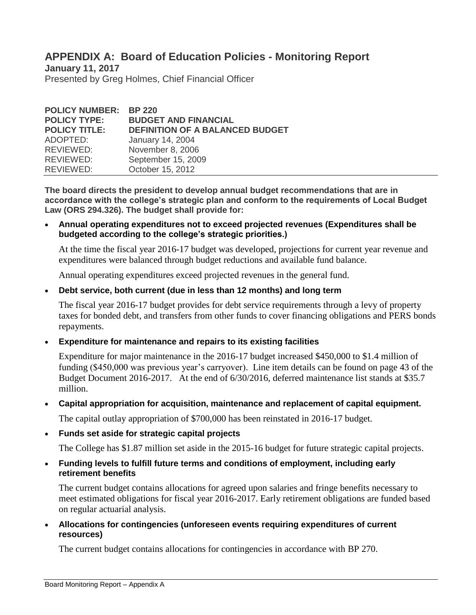# **APPENDIX A: Board of Education Policies - Monitoring Report**

**January 11, 2017** Presented by Greg Holmes, Chief Financial Officer

| <b>POLICY NUMBER: BP 220</b><br><b>POLICY TYPE:</b><br><b>POLICY TITLE:</b> | <b>BUDGET AND FINANCIAL</b><br><b>DEFINITION OF A BALANCED BUDGET</b> |
|-----------------------------------------------------------------------------|-----------------------------------------------------------------------|
| ADOPTED:                                                                    | January 14, 2004                                                      |
| REVIEWED:                                                                   | November 8, 2006                                                      |
| REVIEWED:                                                                   | September 15, 2009                                                    |
| REVIEWED:                                                                   | October 15, 2012                                                      |

**The board directs the president to develop annual budget recommendations that are in accordance with the college's strategic plan and conform to the requirements of Local Budget Law (ORS 294.326). The budget shall provide for:**

 **Annual operating expenditures not to exceed projected revenues (Expenditures shall be budgeted according to the college's strategic priorities.)**

At the time the fiscal year 2016-17 budget was developed, projections for current year revenue and expenditures were balanced through budget reductions and available fund balance.

Annual operating expenditures exceed projected revenues in the general fund.

## **Debt service, both current (due in less than 12 months) and long term**

The fiscal year 2016-17 budget provides for debt service requirements through a levy of property taxes for bonded debt, and transfers from other funds to cover financing obligations and PERS bonds repayments.

## **Expenditure for maintenance and repairs to its existing facilities**

Expenditure for major maintenance in the 2016-17 budget increased \$450,000 to \$1.4 million of funding (\$450,000 was previous year's carryover). Line item details can be found on page 43 of the Budget Document 2016-2017. At the end of 6/30/2016, deferred maintenance list stands at \$35.7 million.

**Capital appropriation for acquisition, maintenance and replacement of capital equipment.** 

The capital outlay appropriation of \$700,000 has been reinstated in 2016-17 budget.

**Funds set aside for strategic capital projects** 

The College has \$1.87 million set aside in the 2015-16 budget for future strategic capital projects.

 **Funding levels to fulfill future terms and conditions of employment, including early retirement benefits** 

The current budget contains allocations for agreed upon salaries and fringe benefits necessary to meet estimated obligations for fiscal year 2016-2017. Early retirement obligations are funded based on regular actuarial analysis.

 **Allocations for contingencies (unforeseen events requiring expenditures of current resources)**

The current budget contains allocations for contingencies in accordance with BP 270.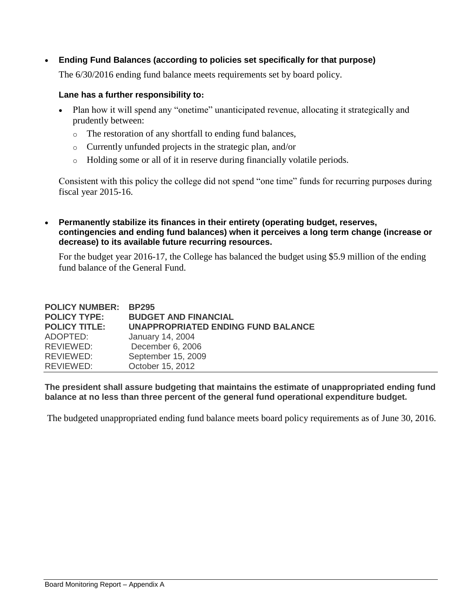**Ending Fund Balances (according to policies set specifically for that purpose)**

The 6/30/2016 ending fund balance meets requirements set by board policy.

#### **Lane has a further responsibility to:**

- Plan how it will spend any "onetime" unanticipated revenue, allocating it strategically and prudently between:
	- o The restoration of any shortfall to ending fund balances,
	- o Currently unfunded projects in the strategic plan, and/or
	- o Holding some or all of it in reserve during financially volatile periods.

Consistent with this policy the college did not spend "one time" funds for recurring purposes during fiscal year 2015-16.

 **Permanently stabilize its finances in their entirety (operating budget, reserves, contingencies and ending fund balances) when it perceives a long term change (increase or decrease) to its available future recurring resources.**

For the budget year 2016-17, the College has balanced the budget using \$5.9 million of the ending fund balance of the General Fund.

| <b>POLICY NUMBER: BP295</b> |                                           |
|-----------------------------|-------------------------------------------|
| <b>POLICY TYPE:</b>         | <b>BUDGET AND FINANCIAL</b>               |
| <b>POLICY TITLE:</b>        | <b>UNAPPROPRIATED ENDING FUND BALANCE</b> |
| ADOPTED:                    | January 14, 2004                          |
| REVIEWED:                   | December 6, 2006                          |
| REVIEWED:                   | September 15, 2009                        |
| REVIEWED:                   | October 15, 2012                          |
|                             |                                           |

**The president shall assure budgeting that maintains the estimate of unappropriated ending fund balance at no less than three percent of the general fund operational expenditure budget.** 

The budgeted unappropriated ending fund balance meets board policy requirements as of June 30, 2016.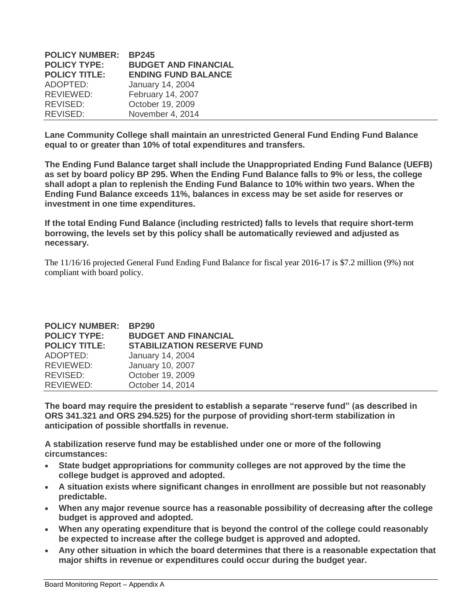| <b>POLICY NUMBER:</b> | <b>BP245</b>                |
|-----------------------|-----------------------------|
| <b>POLICY TYPE:</b>   | <b>BUDGET AND FINANCIAL</b> |
| <b>POLICY TITLE:</b>  | <b>ENDING FUND BALANCE</b>  |
| ADOPTED:              | January 14, 2004            |
| REVIEWED:             | February 14, 2007           |
| REVISED:              | October 19, 2009            |
| REVISED:              | November 4, 2014            |

**Lane Community College shall maintain an unrestricted General Fund Ending Fund Balance equal to or greater than 10% of total expenditures and transfers.**

**The Ending Fund Balance target shall include the Unappropriated Ending Fund Balance (UEFB) as set by board policy BP 295. When the Ending Fund Balance falls to 9% or less, the college shall adopt a plan to replenish the Ending Fund Balance to 10% within two years. When the Ending Fund Balance exceeds 11%, balances in excess may be set aside for reserves or investment in one time expenditures.**

**If the total Ending Fund Balance (including restricted) falls to levels that require short-term borrowing, the levels set by this policy shall be automatically reviewed and adjusted as necessary.**

The 11/16/16 projected General Fund Ending Fund Balance for fiscal year 2016-17 is \$7.2 million (9%) not compliant with board policy.

| <b>POLICY NUMBER:</b><br><b>POLICY TYPE:</b> | <b>BP290</b><br><b>BUDGET AND FINANCIAL</b> |
|----------------------------------------------|---------------------------------------------|
| <b>POLICY TITLE:</b>                         | <b>STABILIZATION RESERVE FUND</b>           |
| ADOPTED:                                     | January 14, 2004                            |
| REVIEWED:                                    | January 10, 2007                            |
| REVISED:                                     | October 19, 2009                            |
| REVIEWED:                                    | October 14, 2014                            |

**The board may require the president to establish a separate "reserve fund" (as described in ORS 341.321 and ORS 294.525) for the purpose of providing short-term stabilization in anticipation of possible shortfalls in revenue.**

**A stabilization reserve fund may be established under one or more of the following circumstances:**

- **State budget appropriations for community colleges are not approved by the time the college budget is approved and adopted.**
- **A situation exists where significant changes in enrollment are possible but not reasonably predictable.**
- **When any major revenue source has a reasonable possibility of decreasing after the college budget is approved and adopted.**
- **When any operating expenditure that is beyond the control of the college could reasonably be expected to increase after the college budget is approved and adopted.**
- **Any other situation in which the board determines that there is a reasonable expectation that major shifts in revenue or expenditures could occur during the budget year.**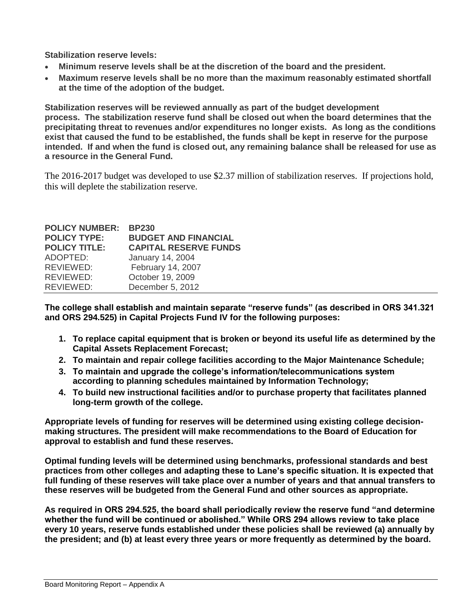**Stabilization reserve levels:**

- **Minimum reserve levels shall be at the discretion of the board and the president.**
- **Maximum reserve levels shall be no more than the maximum reasonably estimated shortfall at the time of the adoption of the budget.**

**Stabilization reserves will be reviewed annually as part of the budget development process. The stabilization reserve fund shall be closed out when the board determines that the precipitating threat to revenues and/or expenditures no longer exists. As long as the conditions exist that caused the fund to be established, the funds shall be kept in reserve for the purpose intended. If and when the fund is closed out, any remaining balance shall be released for use as a resource in the General Fund.**

The 2016-2017 budget was developed to use \$2.37 million of stabilization reserves. If projections hold, this will deplete the stabilization reserve.

| <b>POLICY NUMBER:</b> | <b>BP230</b>                 |
|-----------------------|------------------------------|
| <b>POLICY TYPE:</b>   | <b>BUDGET AND FINANCIAL</b>  |
| <b>POLICY TITLE:</b>  | <b>CAPITAL RESERVE FUNDS</b> |
| ADOPTED:              | January 14, 2004             |
| REVIEWED:             | February 14, 2007            |
| REVIEWED:             | October 19, 2009             |
| REVIEWED:             | December 5, 2012             |

**The college shall establish and maintain separate "reserve funds" (as described in ORS 341.321 and ORS 294.525) in Capital Projects Fund IV for the following purposes:**

- **1. To replace capital equipment that is broken or beyond its useful life as determined by the Capital Assets Replacement Forecast;**
- **2. To maintain and repair college facilities according to the Major Maintenance Schedule;**
- **3. To maintain and upgrade the college's information/telecommunications system according to planning schedules maintained by Information Technology;**
- **4. To build new instructional facilities and/or to purchase property that facilitates planned long-term growth of the college.**

**Appropriate levels of funding for reserves will be determined using existing college decisionmaking structures. The president will make recommendations to the Board of Education for approval to establish and fund these reserves.**

**Optimal funding levels will be determined using benchmarks, professional standards and best practices from other colleges and adapting these to Lane's specific situation. It is expected that full funding of these reserves will take place over a number of years and that annual transfers to these reserves will be budgeted from the General Fund and other sources as appropriate.**

**As required in ORS 294.525, the board shall periodically review the reserve fund "and determine whether the fund will be continued or abolished." While ORS 294 allows review to take place every 10 years, reserve funds established under these policies shall be reviewed (a) annually by the president; and (b) at least every three years or more frequently as determined by the board.**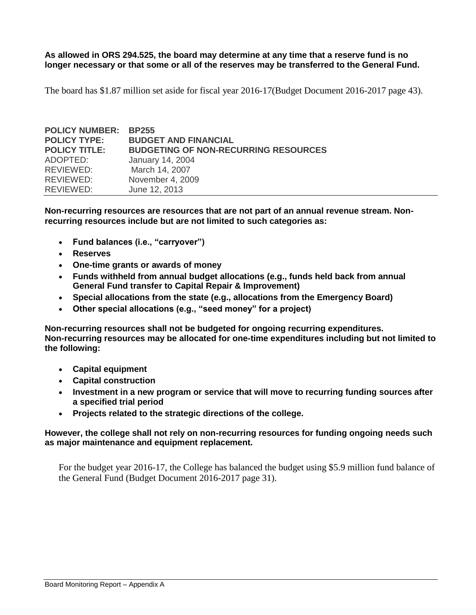**As allowed in ORS 294.525, the board may determine at any time that a reserve fund is no longer necessary or that some or all of the reserves may be transferred to the General Fund.**

The board has \$1.87 million set aside for fiscal year 2016-17(Budget Document 2016-2017 page 43).

| <b>POLICY NUMBER:</b> | <b>BP255</b>                                |
|-----------------------|---------------------------------------------|
| <b>POLICY TYPE:</b>   | <b>BUDGET AND FINANCIAL</b>                 |
| <b>POLICY TITLE:</b>  | <b>BUDGETING OF NON-RECURRING RESOURCES</b> |
| ADOPTED:              | <b>January 14, 2004</b>                     |
| REVIEWED:             | March 14, 2007                              |
| REVIEWED:             | November 4, 2009                            |
| REVIEWED:             | June 12, 2013                               |

**Non-recurring resources are resources that are not part of an annual revenue stream. Nonrecurring resources include but are not limited to such categories as:**

- **Fund balances (i.e., "carryover")**
- **Reserves**
- **One-time grants or awards of money**
- **Funds withheld from annual budget allocations (e.g., funds held back from annual General Fund transfer to Capital Repair & Improvement)**
- **Special allocations from the state (e.g., allocations from the Emergency Board)**
- **Other special allocations (e.g., "seed money" for a project)**

**Non-recurring resources shall not be budgeted for ongoing recurring expenditures. Non-recurring resources may be allocated for one-time expenditures including but not limited to the following:**

- **Capital equipment**
- **Capital construction**
- **Investment in a new program or service that will move to recurring funding sources after a specified trial period**
- **Projects related to the strategic directions of the college.**

#### **However, the college shall not rely on non-recurring resources for funding ongoing needs such as major maintenance and equipment replacement.**

For the budget year 2016-17, the College has balanced the budget using \$5.9 million fund balance of the General Fund (Budget Document 2016-2017 page 31).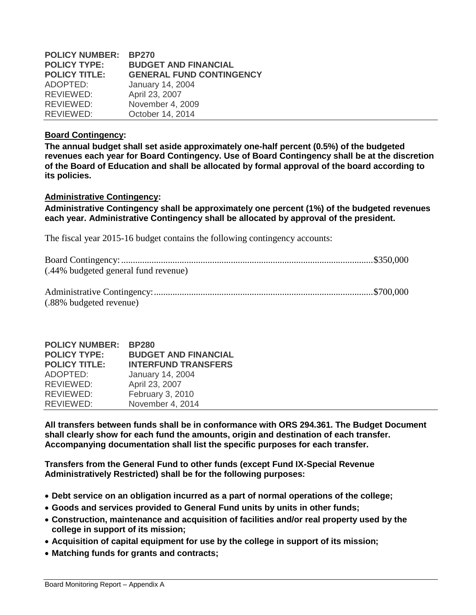| <b>POLICY NUMBER:</b> | <b>BP270</b>                    |
|-----------------------|---------------------------------|
| <b>POLICY TYPE:</b>   | <b>BUDGET AND FINANCIAL</b>     |
| <b>POLICY TITLE:</b>  | <b>GENERAL FUND CONTINGENCY</b> |
| ADOPTED:              | January 14, 2004                |
| REVIEWED:             | April 23, 2007                  |
| REVIEWED:             | November 4, 2009                |
| REVIEWED:             | October 14, 2014                |

#### **Board Contingency:**

**The annual budget shall set aside approximately one-half percent (0.5%) of the budgeted revenues each year for Board Contingency. Use of Board Contingency shall be at the discretion of the Board of Education and shall be allocated by formal approval of the board according to its policies.**

#### **Administrative Contingency:**

**Administrative Contingency shall be approximately one percent (1%) of the budgeted revenues each year. Administrative Contingency shall be allocated by approval of the president.**

The fiscal year 2015-16 budget contains the following contingency accounts:

| (.44% budgeted general fund revenue) |  |
|--------------------------------------|--|
|                                      |  |
|                                      |  |

(.88% budgeted revenue)

| <b>POLICY NUMBER:</b> | <b>BP280</b>                |
|-----------------------|-----------------------------|
| <b>POLICY TYPE:</b>   | <b>BUDGET AND FINANCIAL</b> |
| <b>POLICY TITLE:</b>  | <b>INTERFUND TRANSFERS</b>  |
| ADOPTED:              | January 14, 2004            |
| REVIEWED:             | April 23, 2007              |
| REVIEWED:             | February 3, 2010            |
| REVIEWED:             | November 4, 2014            |

**All transfers between funds shall be in conformance with ORS 294.361. The Budget Document shall clearly show for each fund the amounts, origin and destination of each transfer. Accompanying documentation shall list the specific purposes for each transfer.**

**Transfers from the General Fund to other funds (except Fund IX-Special Revenue Administratively Restricted) shall be for the following purposes:**

- **Debt service on an obligation incurred as a part of normal operations of the college;**
- **Goods and services provided to General Fund units by units in other funds;**
- **Construction, maintenance and acquisition of facilities and/or real property used by the college in support of its mission;**
- **Acquisition of capital equipment for use by the college in support of its mission;**
- **Matching funds for grants and contracts;**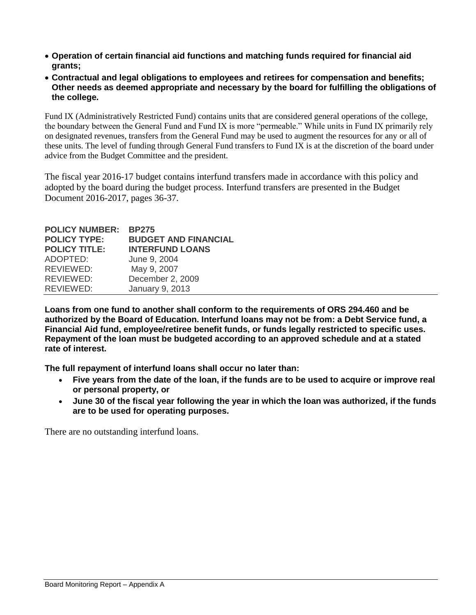- **Operation of certain financial aid functions and matching funds required for financial aid grants;**
- **Contractual and legal obligations to employees and retirees for compensation and benefits; Other needs as deemed appropriate and necessary by the board for fulfilling the obligations of the college.**

Fund IX (Administratively Restricted Fund) contains units that are considered general operations of the college, the boundary between the General Fund and Fund IX is more "permeable." While units in Fund IX primarily rely on designated revenues, transfers from the General Fund may be used to augment the resources for any or all of these units. The level of funding through General Fund transfers to Fund IX is at the discretion of the board under advice from the Budget Committee and the president.

The fiscal year 2016-17 budget contains interfund transfers made in accordance with this policy and adopted by the board during the budget process. Interfund transfers are presented in the Budget Document 2016-2017, pages 36-37.

| <b>POLICY TYPE:</b>           | <b>POLICY NUMBER:</b> | <b>BP275</b>                |
|-------------------------------|-----------------------|-----------------------------|
|                               |                       | <b>BUDGET AND FINANCIAL</b> |
|                               | <b>POLICY TITLE:</b>  | <b>INTERFUND LOANS</b>      |
| ADOPTED:<br>June 9, 2004      |                       |                             |
| May 9, 2007<br>REVIEWED:      |                       |                             |
| December 2, 2009<br>REVIEWED: |                       |                             |
| REVIEWED:<br>January 9, 2013  |                       |                             |

**Loans from one fund to another shall conform to the requirements of ORS 294.460 and be authorized by the Board of Education. Interfund loans may not be from: a Debt Service fund, a Financial Aid fund, employee/retiree benefit funds, or funds legally restricted to specific uses. Repayment of the loan must be budgeted according to an approved schedule and at a stated rate of interest.** 

**The full repayment of interfund loans shall occur no later than:**

- **Five years from the date of the loan, if the funds are to be used to acquire or improve real or personal property, or**
- **June 30 of the fiscal year following the year in which the loan was authorized, if the funds are to be used for operating purposes.**

There are no outstanding interfund loans.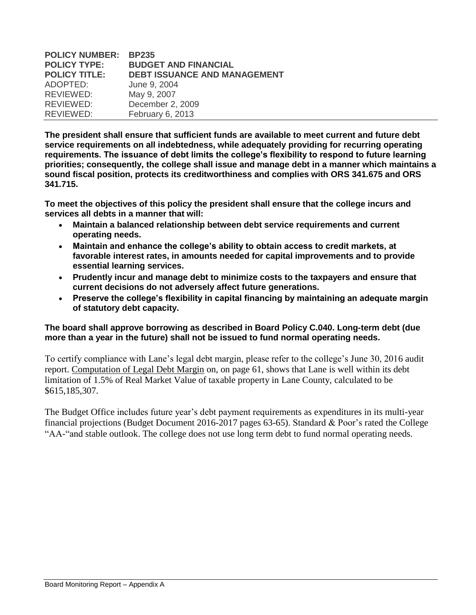| <b>POLICY NUMBER:</b> | <b>BP235</b>                        |
|-----------------------|-------------------------------------|
| <b>POLICY TYPE:</b>   | <b>BUDGET AND FINANCIAL</b>         |
| <b>POLICY TITLE:</b>  | <b>DEBT ISSUANCE AND MANAGEMENT</b> |
| ADOPTED:              | June 9, 2004                        |
| REVIEWED:             | May 9, 2007                         |
| REVIEWED:             | December 2, 2009                    |
| REVIEWED:             | February 6, 2013                    |

**The president shall ensure that sufficient funds are available to meet current and future debt service requirements on all indebtedness, while adequately providing for recurring operating requirements. The issuance of debt limits the college's flexibility to respond to future learning priorities; consequently, the college shall issue and manage debt in a manner which maintains a sound fiscal position, protects its creditworthiness and complies with ORS 341.675 and ORS 341.715.** 

**To meet the objectives of this policy the president shall ensure that the college incurs and services all debts in a manner that will:** 

- **Maintain a balanced relationship between debt service requirements and current operating needs.**
- **Maintain and enhance the college's ability to obtain access to credit markets, at favorable interest rates, in amounts needed for capital improvements and to provide essential learning services.**
- **Prudently incur and manage debt to minimize costs to the taxpayers and ensure that current decisions do not adversely affect future generations.**
- **Preserve the college's flexibility in capital financing by maintaining an adequate margin of statutory debt capacity.**

### **The board shall approve borrowing as described in Board Policy C.040. Long-term debt (due more than a year in the future) shall not be issued to fund normal operating needs.**

To certify compliance with Lane's legal debt margin, please refer to the college's June 30, 2016 audit report. Computation of Legal Debt Margin on, on page 61, shows that Lane is well within its debt limitation of 1.5% of Real Market Value of taxable property in Lane County, calculated to be \$615,185,307.

The Budget Office includes future year's debt payment requirements as expenditures in its multi-year financial projections (Budget Document 2016-2017 pages 63-65). Standard & Poor's rated the College "AA-"and stable outlook. The college does not use long term debt to fund normal operating needs.